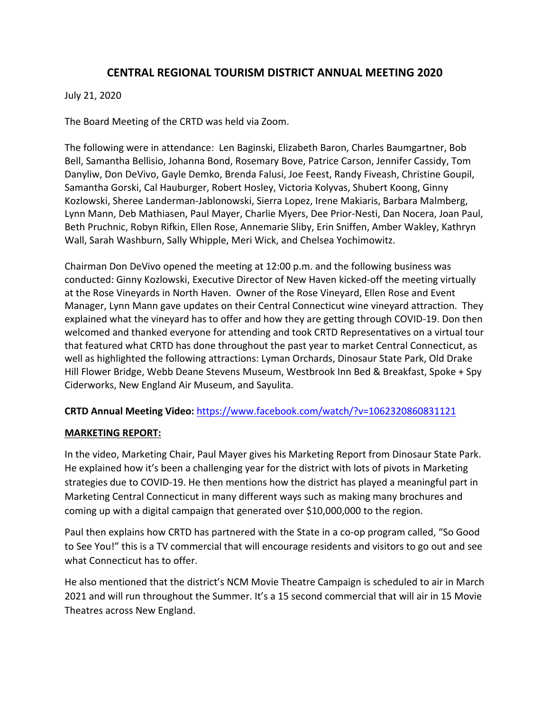# **CENTRAL REGIONAL TOURISM DISTRICT ANNUAL MEETING 2020**

#### July 21, 2020

The Board Meeting of the CRTD was held via Zoom.

The following were in attendance: Len Baginski, Elizabeth Baron, Charles Baumgartner, Bob Bell, Samantha Bellisio, Johanna Bond, Rosemary Bove, Patrice Carson, Jennifer Cassidy, Tom Danyliw, Don DeVivo, Gayle Demko, Brenda Falusi, Joe Feest, Randy Fiveash, Christine Goupil, Samantha Gorski, Cal Hauburger, Robert Hosley, Victoria Kolyvas, Shubert Koong, Ginny Kozlowski, Sheree Landerman‐Jablonowski, Sierra Lopez, Irene Makiaris, Barbara Malmberg, Lynn Mann, Deb Mathiasen, Paul Mayer, Charlie Myers, Dee Prior‐Nesti, Dan Nocera, Joan Paul, Beth Pruchnic, Robyn Rifkin, Ellen Rose, Annemarie Sliby, Erin Sniffen, Amber Wakley, Kathryn Wall, Sarah Washburn, Sally Whipple, Meri Wick, and Chelsea Yochimowitz.

Chairman Don DeVivo opened the meeting at 12:00 p.m. and the following business was conducted: Ginny Kozlowski, Executive Director of New Haven kicked‐off the meeting virtually at the Rose Vineyards in North Haven. Owner of the Rose Vineyard, Ellen Rose and Event Manager, Lynn Mann gave updates on their Central Connecticut wine vineyard attraction. They explained what the vineyard has to offer and how they are getting through COVID‐19. Don then welcomed and thanked everyone for attending and took CRTD Representatives on a virtual tour that featured what CRTD has done throughout the past year to market Central Connecticut, as well as highlighted the following attractions: Lyman Orchards, Dinosaur State Park, Old Drake Hill Flower Bridge, Webb Deane Stevens Museum, Westbrook Inn Bed & Breakfast, Spoke + Spy Ciderworks, New England Air Museum, and Sayulita.

### **CRTD Annual Meeting Video:** https://www.facebook.com/watch/?v=1062320860831121

#### **MARKETING REPORT:**

In the video, Marketing Chair, Paul Mayer gives his Marketing Report from Dinosaur State Park. He explained how it's been a challenging year for the district with lots of pivots in Marketing strategies due to COVID‐19. He then mentions how the district has played a meaningful part in Marketing Central Connecticut in many different ways such as making many brochures and coming up with a digital campaign that generated over \$10,000,000 to the region.

Paul then explains how CRTD has partnered with the State in a co-op program called, "So Good to See You!" this is a TV commercial that will encourage residents and visitors to go out and see what Connecticut has to offer.

He also mentioned that the district's NCM Movie Theatre Campaign is scheduled to air in March 2021 and will run throughout the Summer. It's a 15 second commercial that will air in 15 Movie Theatres across New England.